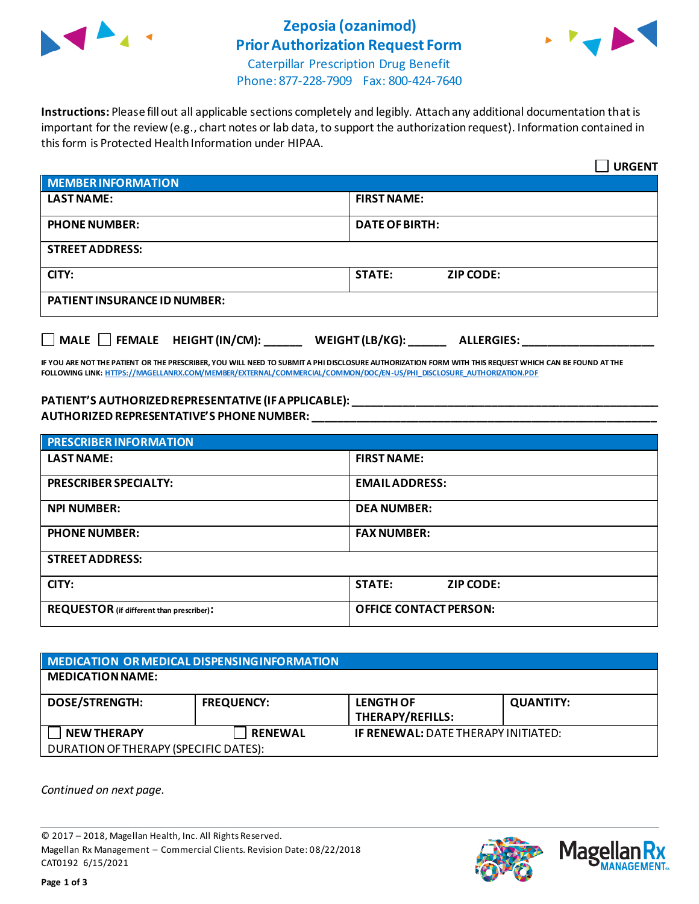

# **Zeposia (ozanimod) Prior Authorization Request Form**



Caterpillar Prescription Drug Benefit Phone: 877-228-7909 Fax: 800-424-7640

**Instructions:** Please fill out all applicable sections completely and legibly. Attach any additional documentation that is important for the review (e.g., chart notes or lab data, to support the authorization request). Information contained in this form is Protected Health Information under HIPAA.

|                                           | <b>URGENT</b>                        |  |
|-------------------------------------------|--------------------------------------|--|
| <b>MEMBER INFORMATION</b>                 |                                      |  |
| <b>LAST NAME:</b>                         | <b>FIRST NAME:</b>                   |  |
| <b>PHONE NUMBER:</b>                      | <b>DATE OF BIRTH:</b>                |  |
| <b>STREET ADDRESS:</b>                    |                                      |  |
| CITY:                                     | <b>STATE:</b><br><b>ZIP CODE:</b>    |  |
| <b>PATIENT INSURANCE ID NUMBER:</b>       |                                      |  |
| $\Box$ MALE $\Box$ FEMALE HEIGHT (IN/CM): | WEIGHT (LB/KG):<br><b>ALLERGIES:</b> |  |

**IF YOU ARE NOT THE PATIENT OR THE PRESCRIBER, YOU WILL NEED TO SUBMIT A PHI DISCLOSURE AUTHORIZATION FORM WITH THIS REQUEST WHICH CAN BE FOUND AT THE FOLLOWING LINK[: HTTPS://MAGELLANRX.COM/MEMBER/EXTERNAL/COMMERCIAL/COMMON/DOC/EN-US/PHI\\_DISCLOSURE\\_AUTHORIZATION.PDF](https://magellanrx.com/member/external/commercial/common/doc/en-us/PHI_Disclosure_Authorization.pdf)**

#### **PATIENT'S AUTHORIZED REPRESENTATIVE (IF APPLICABLE): \_\_\_\_\_\_\_\_\_\_\_\_\_\_\_\_\_\_\_\_\_\_\_\_\_\_\_\_\_\_\_\_\_\_\_\_\_\_\_\_\_\_\_\_\_\_\_\_\_ AUTHORIZED REPRESENTATIVE'S PHONE NUMBER: \_\_\_\_\_\_\_\_\_\_\_\_\_\_\_\_\_\_\_\_\_\_\_\_\_\_\_\_\_\_\_\_\_\_\_\_\_\_\_\_\_\_\_\_\_\_\_\_\_\_\_\_\_\_\_**

| <b>PRESCRIBER INFORMATION</b>             |                               |  |  |
|-------------------------------------------|-------------------------------|--|--|
| <b>LAST NAME:</b>                         | <b>FIRST NAME:</b>            |  |  |
| <b>PRESCRIBER SPECIALTY:</b>              | <b>EMAIL ADDRESS:</b>         |  |  |
| <b>NPI NUMBER:</b>                        | <b>DEA NUMBER:</b>            |  |  |
| <b>PHONE NUMBER:</b>                      | <b>FAX NUMBER:</b>            |  |  |
| <b>STREET ADDRESS:</b>                    |                               |  |  |
| CITY:                                     | <b>STATE:</b><br>ZIP CODE:    |  |  |
| REQUESTOR (if different than prescriber): | <b>OFFICE CONTACT PERSON:</b> |  |  |

| MEDICATION OR MEDICAL DISPENSING INFORMATION |                   |                                            |                  |  |  |
|----------------------------------------------|-------------------|--------------------------------------------|------------------|--|--|
| <b>MEDICATION NAME:</b>                      |                   |                                            |                  |  |  |
| <b>DOSE/STRENGTH:</b>                        | <b>FREQUENCY:</b> | <b>LENGTH OF</b><br>THERAPY/REFILLS:       | <b>QUANTITY:</b> |  |  |
| <b>NEW THERAPY</b>                           | <b>RENEWAL</b>    | <b>IF RENEWAL: DATE THERAPY INITIATED:</b> |                  |  |  |
| DURATION OF THERAPY (SPECIFIC DATES):        |                   |                                            |                  |  |  |

*Continued on next page.*

© 2017 – 2018, Magellan Health, Inc. All Rights Reserved. Magellan Rx Management – Commercial Clients. Revision Date: 08/22/2018 CAT0192 6/15/2021



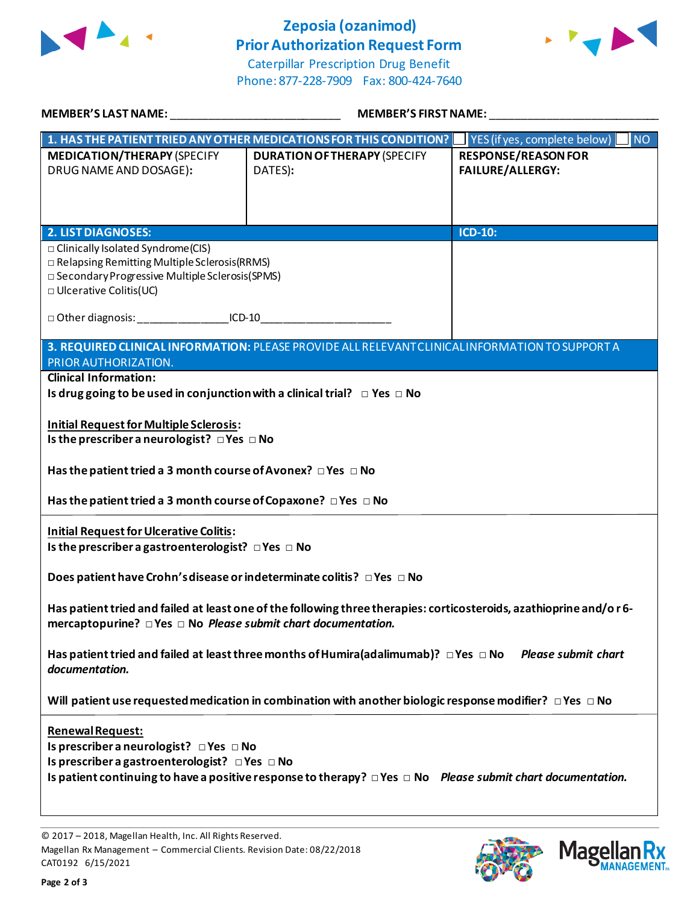

## **Zeposia (ozanimod) Prior Authorization Request Form**



Caterpillar Prescription Drug Benefit Phone: 877-228-7909 Fax: 800-424-7640

| <b>MEMBER'S LAST NAME:</b>                                                                                                                                                                     | <b>MEMBER'S FIRST NAME:</b>                                                                                           |                                                           |  |  |
|------------------------------------------------------------------------------------------------------------------------------------------------------------------------------------------------|-----------------------------------------------------------------------------------------------------------------------|-----------------------------------------------------------|--|--|
|                                                                                                                                                                                                | 1. HAS THE PATIENT TRIED ANY OTHER MEDICATIONS FOR THIS CONDITION?                                                    | $\vert$ YES (if yes, complete below) $\vert$<br><b>NO</b> |  |  |
| <b>MEDICATION/THERAPY (SPECIFY</b><br>DRUG NAME AND DOSAGE):                                                                                                                                   | <b>DURATION OF THERAPY (SPECIFY</b><br>DATES):                                                                        | <b>RESPONSE/REASON FOR</b><br><b>FAILURE/ALLERGY:</b>     |  |  |
| <b>2. LIST DIAGNOSES:</b>                                                                                                                                                                      |                                                                                                                       | ICD-10:                                                   |  |  |
| □ Clinically Isolated Syndrome(CIS)<br>$\Box$ Relapsing Remitting Multiple Sclerosis (RRMS)<br>□ Secondary Progressive Multiple Sclerosis(SPMS)<br>$\Box$ Ulcerative Colitis(UC)               |                                                                                                                       |                                                           |  |  |
| □ Other diagnosis: _________________________ICD-10                                                                                                                                             |                                                                                                                       |                                                           |  |  |
| 3. REQUIRED CLINICAL INFORMATION: PLEASE PROVIDE ALL RELEVANT CLINICAL INFORMATION TO SUPPORT A<br>PRIOR AUTHORIZATION.                                                                        |                                                                                                                       |                                                           |  |  |
| <b>Clinical Information:</b>                                                                                                                                                                   |                                                                                                                       |                                                           |  |  |
| Is drug going to be used in conjunction with a clinical trial? $\Box$ Yes $\Box$ No                                                                                                            |                                                                                                                       |                                                           |  |  |
| <b>Initial Request for Multiple Sclerosis:</b><br>Is the prescriber a neurologist? $\Box$ Yes $\Box$ No                                                                                        |                                                                                                                       |                                                           |  |  |
| Has the patient tried a 3 month course of Avonex? $\Box$ Yes $\Box$ No                                                                                                                         |                                                                                                                       |                                                           |  |  |
| Has the patient tried a 3 month course of Copaxone? $\Box$ Yes $\Box$ No                                                                                                                       |                                                                                                                       |                                                           |  |  |
| <b>Initial Request for Ulcerative Colitis:</b><br>Is the prescriber a gastroenterologist? $\Box$ Yes $\Box$ No                                                                                 |                                                                                                                       |                                                           |  |  |
| Does patient have Crohn's disease or indeterminate colitis? □ Yes □ No                                                                                                                         |                                                                                                                       |                                                           |  |  |
| Has patient tried and failed at least one of the following three therapies: corticosteroids, azathioprine and/or 6-<br>mercaptopurine? $\Box$ Yes $\Box$ No Please submit chart documentation. |                                                                                                                       |                                                           |  |  |
| Has patient tried and failed at least three months of Humira(adalimumab)? $\Box$ Yes $\Box$ No<br><b>Please submit chart</b><br>documentation.                                                 |                                                                                                                       |                                                           |  |  |
| Will patient use requested medication in combination with another biologic response modifier? $\Box$ Yes $\Box$ No                                                                             |                                                                                                                       |                                                           |  |  |
| Renewal Request:<br>Is prescriber a neurologist? DYes DNo<br>Is prescriber a gastroenterologist? DYes DNo                                                                                      | Is patient continuing to have a positive response to therapy? $\Box$ Yes $\Box$ No Please submit chart documentation. |                                                           |  |  |